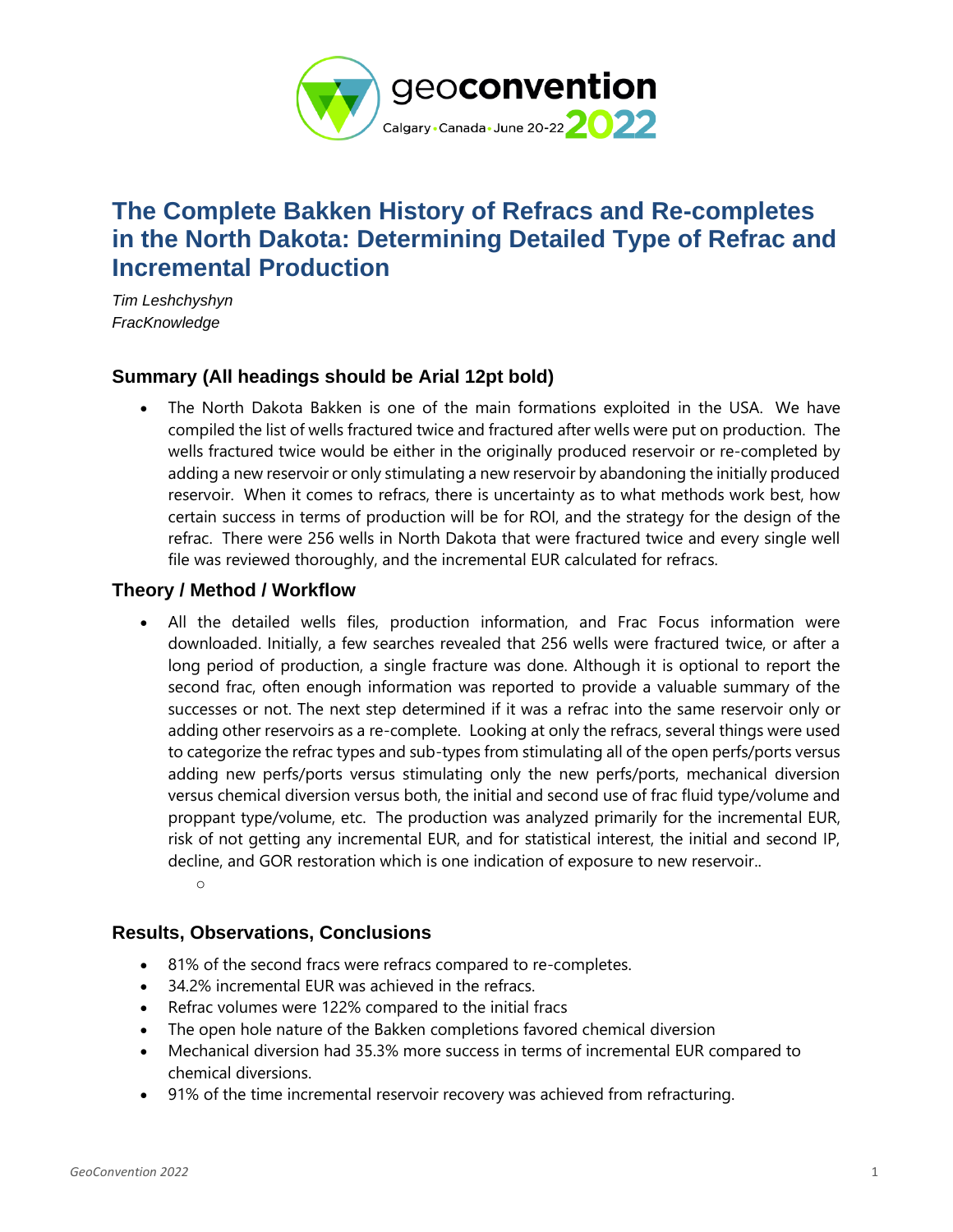

# **The Complete Bakken History of Refracs and Re-completes in the North Dakota: Determining Detailed Type of Refrac and Incremental Production**

*Tim Leshchyshyn FracKnowledge*

# **Summary (All headings should be Arial 12pt bold)**

• The North Dakota Bakken is one of the main formations exploited in the USA. We have compiled the list of wells fractured twice and fractured after wells were put on production. The wells fractured twice would be either in the originally produced reservoir or re-completed by adding a new reservoir or only stimulating a new reservoir by abandoning the initially produced reservoir. When it comes to refracs, there is uncertainty as to what methods work best, how certain success in terms of production will be for ROI, and the strategy for the design of the refrac. There were 256 wells in North Dakota that were fractured twice and every single well file was reviewed thoroughly, and the incremental EUR calculated for refracs.

# **Theory / Method / Workflow**

• All the detailed wells files, production information, and Frac Focus information were downloaded. Initially, a few searches revealed that 256 wells were fractured twice, or after a long period of production, a single fracture was done. Although it is optional to report the second frac, often enough information was reported to provide a valuable summary of the successes or not. The next step determined if it was a refrac into the same reservoir only or adding other reservoirs as a re-complete. Looking at only the refracs, several things were used to categorize the refrac types and sub-types from stimulating all of the open perfs/ports versus adding new perfs/ports versus stimulating only the new perfs/ports, mechanical diversion versus chemical diversion versus both, the initial and second use of frac fluid type/volume and proppant type/volume, etc. The production was analyzed primarily for the incremental EUR, risk of not getting any incremental EUR, and for statistical interest, the initial and second IP, decline, and GOR restoration which is one indication of exposure to new reservoir.. o

### **Results, Observations, Conclusions**

- 81% of the second fracs were refracs compared to re-completes.
- 34.2% incremental EUR was achieved in the refracs.
- Refrac volumes were 122% compared to the initial fracs
- The open hole nature of the Bakken completions favored chemical diversion
- Mechanical diversion had 35.3% more success in terms of incremental EUR compared to chemical diversions.
- 91% of the time incremental reservoir recovery was achieved from refracturing.